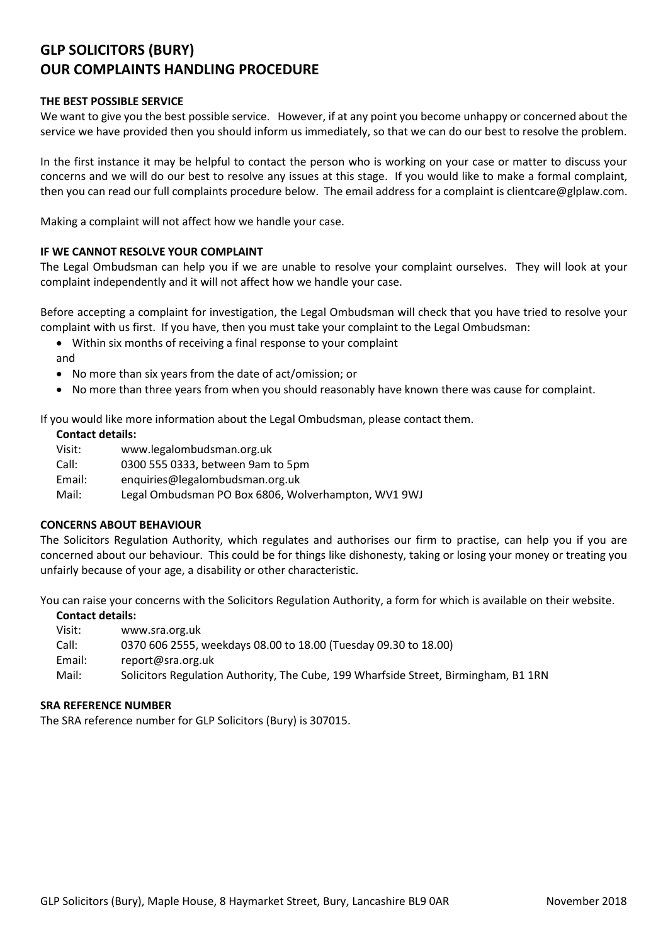# **GLP SOLICITORS (BURY) OUR COMPLAINTS HANDLING PROCEDURE**

# **THE BEST POSSIBLE SERVICE**

We want to give you the best possible service. However, if at any point you become unhappy or concerned about the service we have provided then you should inform us immediately, so that we can do our best to resolve the problem.

In the first instance it may be helpful to contact the person who is working on your case or matter to discuss your concerns and we will do our best to resolve any issues at this stage. If you would like to make a formal complaint, then you can read our full complaints procedure below. The email address for a complaint is clientcare@glplaw.com.

Making a complaint will not affect how we handle your case.

# **IF WE CANNOT RESOLVE YOUR COMPLAINT**

The Legal Ombudsman can help you if we are unable to resolve your complaint ourselves. They will look at your complaint independently and it will not affect how we handle your case.

Before accepting a complaint for investigation, the Legal Ombudsman will check that you have tried to resolve your complaint with us first. If you have, then you must take your complaint to the Legal Ombudsman:

- Within six months of receiving a final response to your complaint
- and
- No more than six years from the date of act/omission; or
- No more than three years from when you should reasonably have known there was cause for complaint.

If you would like more information about the Legal Ombudsman, please contact them.

### **Contact details:**

Visit: www.legalombudsman.org.uk Call: 0300 555 0333, between 9am to 5pm Email: enquiries@legalombudsman.org.uk Mail: Legal Ombudsman PO Box 6806, Wolverhampton, WV1 9WJ

# **CONCERNS ABOUT BEHAVIOUR**

The Solicitors Regulation Authority, which regulates and authorises our firm to practise, can help you if you are concerned about our behaviour. This could be for things like dishonesty, taking or losing your money or treating you unfairly because of your age, a disability or other characteristic.

You can raise your concerns with the Solicitors Regulation Authority, a form for which is available on their website.

#### **Contact details:**

- Visit: www.sra.org.uk
- Call: 0370 606 2555, weekdays 08.00 to 18.00 (Tuesday 09.30 to 18.00)
- Email: report@sra.org.uk
- Mail: Solicitors Regulation Authority, The Cube, 199 Wharfside Street, Birmingham, B1 1RN

#### **SRA REFERENCE NUMBER**

The SRA reference number for GLP Solicitors (Bury) is 307015.